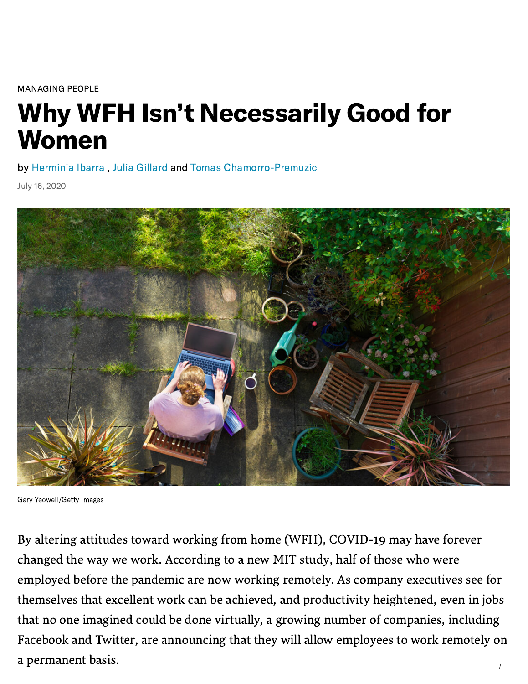[MANAGING](https://hbr.org/topic/managing-people) PEOPLE

# Why WFH Isn't Necessarily Good for Women

by [Herminia](https://hbr.org/search?term=herminia%20ibarra) Ibarra , Julia [Gillard](https://hbr.org/search?term=julia%20gillard) and Tomas [Chamorro-Premuzic](https://hbr.org/search?term=tomas%20chamorro-premuzic)

July 16, 2020



Gary Yeowell/Getty Images

By altering attitudes toward working from home (WFH), COVID-19 may have forever changed the way we work. According to a new MIT [study](https://www.brynjolfsson.com/remotework/), half of those who were employed before the pandemic are now working remotely. As company executives see for themselves that excellent work can be achieved, and [productivity](https://hbr.org/2014/01/to-raise-productivity-let-more-employees-work-from-home) heightened, even in jobs that no one imagined could be done virtually, a growing number of [companies,](https://www.fastcompany.com/90508784/heres-an-ever-growing-list-of-companies-that-will-let-people-work-from-home-forever) including Facebook and Twitter, are announcing that they will allow employees to work remotely on a permanent basis.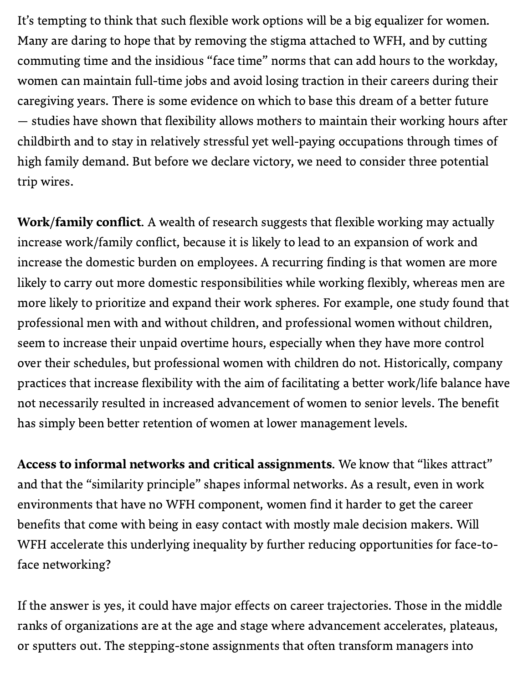It's tempting to think that such flexible work options will be a big equalizer for women. Many are daring to hope that by removing the stigma attached to WFH, and by cutting commuting time and the insidious "face time" norms that can add hours to the workday, women can maintain full-time jobs and avoid losing traction in their careers during their caregiving years. There is some evidence on which to base this dream of a better future — [studies](https://link.springer.com/article/10.1007/s11205-018-2025-x#ref-CR14) have shown that flexibility allows mothers to maintain their working hours after childbirth and to stay in relatively stressful yet well-paying occupations through times of high family demand. But before we declare victory, we need to consider three potential trip wires.

Work/family conflict. A wealth of research suggests that flexible working may actually increase work/family conflict, because it is likely to lead to an expansion of work and increase the domestic burden on employees. A recurring finding is that women are more likely to carry out more domestic responsibilities while working flexibly, whereas men are more likely to prioritize and expand their work spheres. For example, one study found that professional men with and without children, and professional women without children, seem to increase their unpaid overtime hours, especially when they have more control over their schedules, but professional women with children do not. Historically, company practices that increase flexibility with the aim of facilitating a better work/life balance have not necessarily resulted in increased advancement of women to senior levels. The benefit has simply been better retention of women at lower [management](https://assets.publishing.service.gov.uk/government/uploads/system/uploads/attachment_data/file/840404/KCL_Main_Report.pdf) levels.

Access to informal networks and critical assignments. We know that "likes attract" and that the "similarity principle" shapes informal networks. As a result, even in work environments that have no WFH component, women find it harder to get the career benefits that come with being in easy contact with mostly male [decision](https://hbr.org/2019/08/a-lack-of-sponsorship-is-keeping-women-from-advancing-into-leadership) makers. Will WFH accelerate this underlying inequality by further reducing opportunities for face-toface networking?

If the answer is yes, it could have major effects on career trajectories. Those in the middle ranks of organizations are at the age and stage where advancement accelerates, plateaus, or sputters out. The stepping-stone assignments that often transform managers into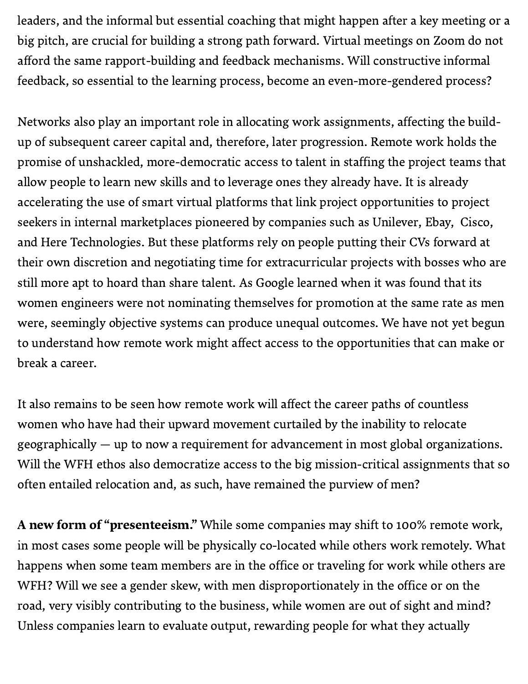leaders, and the informal but essential coaching that might happen after a key meeting or a big pitch, are crucial for building a strong path forward. Virtual [meetings](https://www.fastcompany.com/90506857/why-you-cant-believe-all-the-visual-cues-you-get-on-video-chats) on Zoom do not afford the same rapport-building and feedback mechanisms. Will constructive informal feedback, so essential to the learning process, become an [even-more-gendered](https://hbr.org/2019/11/the-leader-as-coach) process?

Networks also play an important role in allocating work assignments, affecting the buildup of subsequent career capital and, therefore, later progression. Remote work holds the promise of unshackled, more-democratic access to talent in staffing the project teams that allow people to learn new skills and to leverage ones they already have. It is already accelerating the use of smart virtual platforms that link project opportunities to project seekers in internal [marketplaces](https://www.amazon.com/Inside-Gig-Boundaries-Unleashes-Organizational/dp/1928055605/ref=sr_1_1?keywords=the+inside+gig&qid=1567841192&s=books&sr=1-1) pioneered by companies such as [Unilever,](https://www.unilever.com/news/news-and-features/Feature-article/2020/an-exciting-new-normal-for-flexible-working.html) Ebay, Cisco, and Here Technologies. But these platforms rely on people putting their CVs forward at their own discretion and negotiating time for extracurricular projects with bosses who are still more apt to hoard than share talent. As [Google](https://www.theatlantic.com/business/archive/2015/04/googles-other-moonshot/390558/) learned when it was found that its women engineers were not nominating themselves for promotion at the same rate as men were, seemingly objective systems can produce unequal outcomes. We have not yet begun to understand how remote work might affect access to the opportunities that can make or break a career.

It also remains to be seen how remote work will affect the career paths of countless women who have had their upward movement curtailed by the inability to relocate geographically — up to now a requirement for advancement in most global organizations. Will the WFH ethos also democratize access to the big mission-critical assignments that so often entailed relocation and, as such, have remained the purview of men?

A new form of "presenteeism." While some companies may shift to 100% remote work, in most cases some people will be physically co-located while others work remotely. What happens when some team members are in the office or traveling for work while others are WFH? Will we see a gender skew, with men disproportionately in the office or on the road, very visibly contributing to the business, while women are out of sight and mind? Unless companies learn to evaluate output, rewarding people for what they actually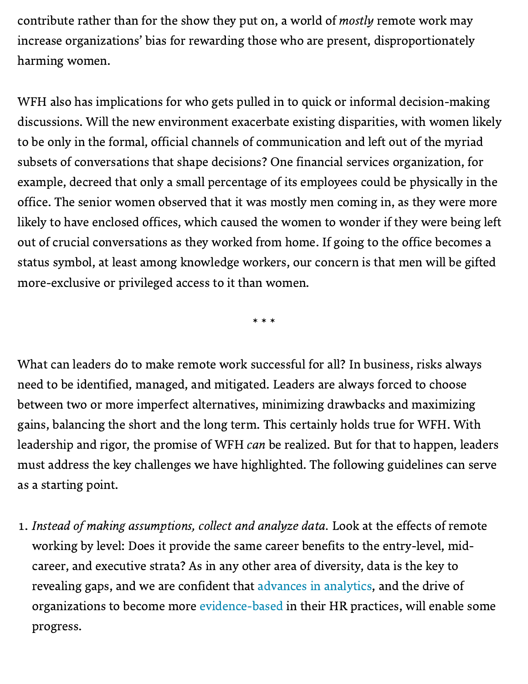contribute rather than for the show they put on, a world of *mostly* remote work may increase organizations' bias for rewarding those who are present, disproportionately harming women.

WFH also has implications for who gets pulled in to quick or informal decision-making discussions. Will the new environment exacerbate existing disparities, with women likely to be only in the formal, official channels of communication and left out of the myriad subsets of conversations that shape decisions? One financial services organization, for example, decreed that only a small percentage of its employees could be physically in the office. The senior women observed that it was mostly men coming in, as they were more likely to have enclosed offices, which caused the women to wonder if they were being left out of crucial conversations as they worked from home. If going to the office becomes a status symbol, at least among knowledge workers, our concern is that men will be gifted more-exclusive or privileged access to it than women.

\* \* \*

What can leaders do to make remote work successful for all? In business, risks always need to be identified, managed, and mitigated. Leaders are always forced to choose between two or more imperfect alternatives, minimizing drawbacks and maximizing gains, balancing the short and the long term. This certainly holds true for WFH. With leadership and rigor, the promise of WFH can be realized. But for that to happen, leaders must address the key challenges we have highlighted. The following guidelines can serve as a starting point.

. Instead of making assumptions, collect and analyze data. Look at the effects of remote working by level: Does it provide the same career benefits to the entry-level, midcareer, and executive strata? As in any other area of diversity, data is the key to revealing gaps, and we are confident that advances in [analytics,](https://www.businessinsider.com/google-goldman-sachs-former-hr-chiefs-quantify-diversity-inclusion-culture-2020-6) and the drive of organizations to become more [evidence-based](https://hbr.org/2018/10/3-ways-to-build-a-data-driven-team) in their HR practices, will enable some progress.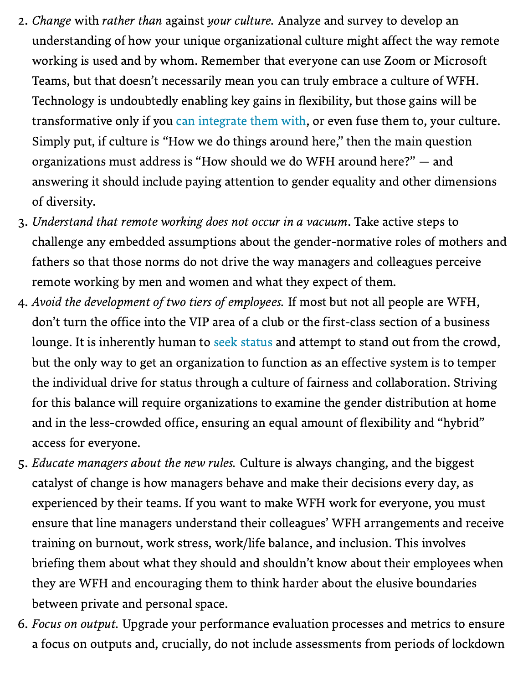- 2. *Change with rather than against your culture*. Analyze and survey to develop an understanding of how your unique organizational culture might affect the way remote working is used and by whom. Remember that everyone can use Zoom or Microsoft Teams, but that doesn't necessarily mean you can truly embrace a culture of WFH. Technology is undoubtedly enabling key gains in flexibility, but those gains will be transformative only if you can [integrate](https://hbr.org/2020/05/digital-transformation-is-about-talent-not-technology) them with, or even fuse them to, your culture. Simply put, if culture is "How we do things around here," then the main question organizations must address is "How should we do WFH around here?" — and answering it should include paying attention to gender equality and other dimensions of diversity.
- . Understand that remote working does not occur in a vacuum. Take active steps to challenge any embedded assumptions about the gender-normative roles of mothers and fathers so that those norms do not drive the way managers and colleagues perceive remote working by men and women and what they expect of them.
- . Avoid the development of two tiers of employees. If most but not all people are WFH, don't turn the office into the VIP area of a club or the first-class section of a business lounge. It is inherently human to seek [status](https://psycnet.apa.org/record/2013-35883-026) and attempt to stand out from the crowd, but the only way to get an organization to function as an effective system is to temper the individual drive for status through a culture of fairness and collaboration. Striving for this balance will require organizations to examine the gender distribution at home and in the less-crowded office, ensuring an equal amount of flexibility and "hybrid" access for everyone.
- . Educate managers about the new rules. Culture is always changing, and the biggest catalyst of change is how managers behave and make their decisions every day, as experienced by their teams. If you want to make WFH work for everyone, you must ensure that line managers understand their colleagues' WFH arrangements and receive training on burnout, work stress, work/life balance, and inclusion. This involves briefing them about what they should and shouldn't know about their employees when they are WFH and encouraging them to think harder about the elusive boundaries between private and personal space.
- . Focus on output. Upgrade your performance evaluation processes and metrics to ensure a focus on outputs and, crucially, do not include assessments from periods of lockdown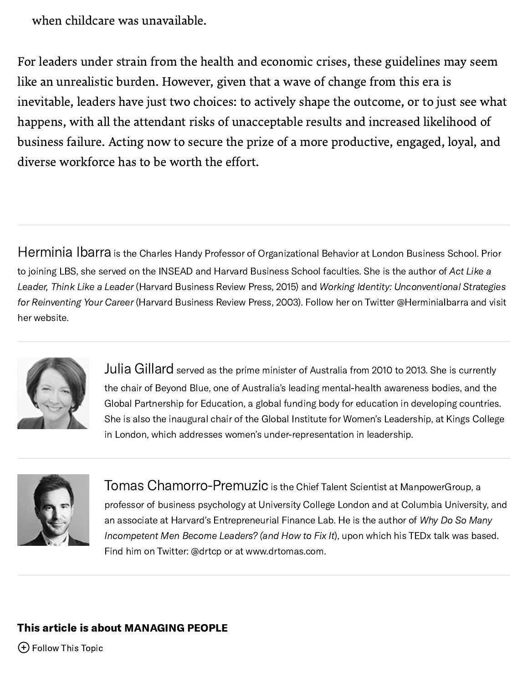when childcare was unavailable.

For leaders under strain from the health and economic crises, these guidelines may seem like an unrealistic burden. However, given that a wave of change from this era is inevitable, leaders have just two choices: to actively shape the outcome, or to just see what happens, with all the attendant risks of unacceptable results and increased likelihood of business failure. Acting now to secure the prize of a more productive, engaged, loyal, and diverse workforce has to be worth the effort.

[Herminia](https://hbr.org/search?term=herminia%20ibarra&search_type=search-all) Ibarra is the Charles Handy Professor of Organizational Behavior at London Business School. Prior to joining LBS, she served on the INSEAD and Harvard Business School faculties. She is the author of Act Like a Leader, Think Like a Leader (Harvard Business Review Press, 2015) and Working Identity: [Unconventional](https://www.amazon.com/Act-Like-Leader-Think/dp/1422184129/ref=sr_1_1?keywords=act+like+a+leader+think+like+a+leader&qid=1571072155&s=books&sr=1-1) Strategies for Reinventing Your Career (Harvard Business Review Press, 2003). Follow her on Twitter [@HerminiaIbarra](https://www.amazon.com/Working-Identity-Unconventional-Strategies-Reinventing/dp/1591394139/ref=sr_1_4?keywords=working+identity+unconventional+strategies+for+reinventing+your+career&qid=1571072216&s=books&sr=1-4) and visit her [website.](http://herminiaibarra.com/)



Julia [Gillard](https://hbr.org/search?term=julia%20gillard&search_type=search-all) served as the prime minister of Australia from 2010 to 2013. She is currently the chair of Beyond Blue, one of Australia's leading mental-health awareness bodies, and the Global Partnership for Education, a global funding body for education in developing countries. She is also the inaugural chair of the Global Institute for Women's Leadership, at Kings College in London, which addresses women's under-representation in leadership.



Tomas [Chamorro-Premuzic](https://hbr.org/search?term=tomas%20chamorro-premuzic&search_type=search-all) is the Chief Talent Scientist at ManpowerGroup, <sup>a</sup> professor of business psychology at University College London and at Columbia University, and an associate at Harvard's [Entrepreneurial](https://www.amazon.com/Why-Many-Incompetent-Become-Leaders/dp/1633696324/) Finance Lab. He is the author of Why Do So Many Incompetent Men Become Leaders? (and How to Fix It), upon which his [TEDx](https://www.youtube.com/watch?v=zeAEFEXvcBg) talk was based. Find him on Twitter: [@drtcp](https://twitter.com/drtcp) or at [www.drtomas.com.](https://drtomas.com/)

## This article is about [MANAGING](https://hbr.org/topic/managing-people) PEOPLE

Follow This Topic